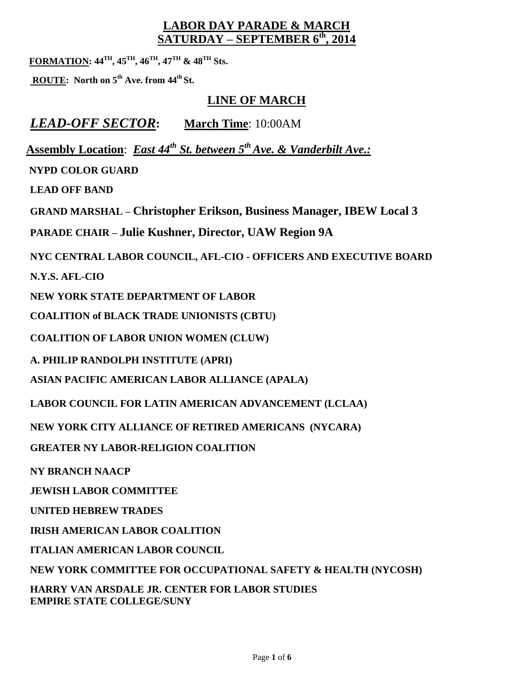### **LABOR DAY PARADE & MARCH SATURDAY – SEPTEMBER 6 th, 2014**

**FORMATION: 44TH , 45TH , 46TH , 47TH & 48TH Sts.**

**ROUTE: North on 5th Ave. from 44th St.** 

## **LINE OF MARCH**

*LEAD-OFF SECTOR***: March Time**: 10:00AM

**Assembly Location**: *East 44th St. between 5th Ave. & Vanderbilt Ave.:*

 **NYPD COLOR GUARD**

**LEAD OFF BAND**

**GRAND MARSHAL – Christopher Erikson, Business Manager, IBEW Local 3**

**PARADE CHAIR – Julie Kushner, Director, UAW Region 9A**

**NYC CENTRAL LABOR COUNCIL, AFL-CIO - OFFICERS AND EXECUTIVE BOARD**

**N.Y.S. AFL-CIO**

**NEW YORK STATE DEPARTMENT OF LABOR**

**COALITION of BLACK TRADE UNIONISTS (CBTU)**

**COALITION OF LABOR UNION WOMEN (CLUW)**

**A. PHILIP RANDOLPH INSTITUTE (APRI)**

**ASIAN PACIFIC AMERICAN LABOR ALLIANCE (APALA)**

**LABOR COUNCIL FOR LATIN AMERICAN ADVANCEMENT (LCLAA)**

**NEW YORK CITY ALLIANCE OF RETIRED AMERICANS (NYCARA)**

**GREATER NY LABOR-RELIGION COALITION**

**NY BRANCH NAACP**

**JEWISH LABOR COMMITTEE**

**UNITED HEBREW TRADES**

**IRISH AMERICAN LABOR COALITION**

**ITALIAN AMERICAN LABOR COUNCIL**

**NEW YORK COMMITTEE FOR OCCUPATIONAL SAFETY & HEALTH (NYCOSH)**

**HARRY VAN ARSDALE JR. CENTER FOR LABOR STUDIES EMPIRE STATE COLLEGE/SUNY**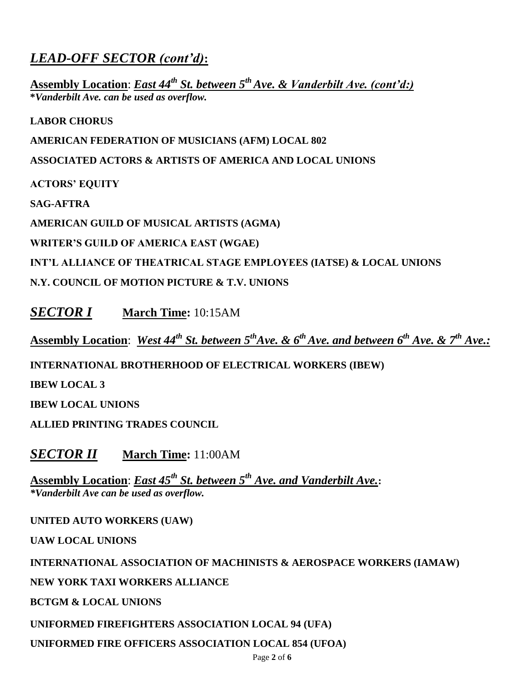# *LEAD-OFF SECTOR (cont'd)***:**

**Assembly Location**: *East 44th St. between 5th Ave. & Vanderbilt Ave. (cont'd:)* **\****Vanderbilt Ave. can be used as overflow.*

**LABOR CHORUS**

**AMERICAN FEDERATION OF MUSICIANS (AFM) LOCAL 802**

**ASSOCIATED ACTORS & ARTISTS OF AMERICA AND LOCAL UNIONS**

**ACTORS' EQUITY**

**SAG-AFTRA**

**AMERICAN GUILD OF MUSICAL ARTISTS (AGMA)**

**WRITER'S GUILD OF AMERICA EAST (WGAE)**

**INT'L ALLIANCE OF THEATRICAL STAGE EMPLOYEES (IATSE) & LOCAL UNIONS**

**N.Y. COUNCIL OF MOTION PICTURE & T.V. UNIONS**

*SECTOR I* **March Time:** 10:15AM

**Assembly Location**: *West 44th St. between 5thAve. & 6thAve. and between 6th Ave. & 7th Ave.:*

**INTERNATIONAL BROTHERHOOD OF ELECTRICAL WORKERS (IBEW)**

**IBEW LOCAL 3**

**IBEW LOCAL UNIONS**

**ALLIED PRINTING TRADES COUNCIL**

*SECTOR II* **March Time:** 11:00AM

**Assembly Location**: *East 45th St. between 5 th Ave. and Vanderbilt Ave.***:** *\*Vanderbilt Ave can be used as overflow.*

**UNITED AUTO WORKERS (UAW)**

**UAW LOCAL UNIONS**

**INTERNATIONAL ASSOCIATION OF MACHINISTS & AEROSPACE WORKERS (IAMAW)**

**NEW YORK TAXI WORKERS ALLIANCE**

**BCTGM & LOCAL UNIONS**

**UNIFORMED FIREFIGHTERS ASSOCIATION LOCAL 94 (UFA)**

**UNIFORMED FIRE OFFICERS ASSOCIATION LOCAL 854 (UFOA)**

Page **2** of **6**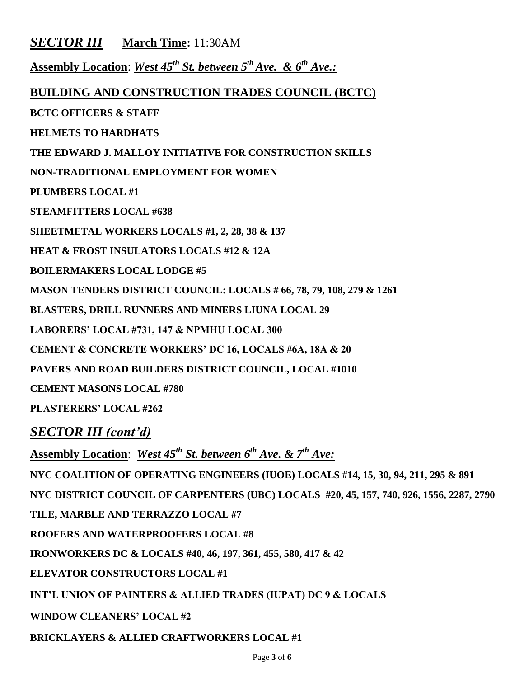### *SECTOR III* **March Time:** 11:30AM

**Assembly Location**: *West 45 th St. between 5th Ave. & 6th Ave.:*

#### **BUILDING AND CONSTRUCTION TRADES COUNCIL (BCTC)**

**BCTC OFFICERS & STAFF**

**HELMETS TO HARDHATS**

**THE EDWARD J. MALLOY INITIATIVE FOR CONSTRUCTION SKILLS**

**NON-TRADITIONAL EMPLOYMENT FOR WOMEN** 

**PLUMBERS LOCAL #1**

**STEAMFITTERS LOCAL #638**

**SHEETMETAL WORKERS LOCALS #1, 2, 28, 38 & 137**

**HEAT & FROST INSULATORS LOCALS #12 & 12A**

**BOILERMAKERS LOCAL LODGE #5**

**MASON TENDERS DISTRICT COUNCIL: LOCALS # 66, 78, 79, 108, 279 & 1261** 

**BLASTERS, DRILL RUNNERS AND MINERS LIUNA LOCAL 29**

**LABORERS' LOCAL #731, 147 & NPMHU LOCAL 300** 

**CEMENT & CONCRETE WORKERS' DC 16, LOCALS #6A, 18A & 20**

**PAVERS AND ROAD BUILDERS DISTRICT COUNCIL, LOCAL #1010**

**CEMENT MASONS LOCAL #780**

**PLASTERERS' LOCAL #262**

*SECTOR III (cont'd)*

**Assembly Location**: *West 45 th St. between 6 th Ave. & 7th Ave:*

**NYC COALITION OF OPERATING ENGINEERS (IUOE) LOCALS #14, 15, 30, 94, 211, 295 & 891**

**NYC DISTRICT COUNCIL OF CARPENTERS (UBC) LOCALS #20, 45, 157, 740, 926, 1556, 2287, 2790**

**TILE, MARBLE AND TERRAZZO LOCAL #7**

**ROOFERS AND WATERPROOFERS LOCAL #8**

**IRONWORKERS DC & LOCALS #40, 46, 197, 361, 455, 580, 417 & 42** 

**ELEVATOR CONSTRUCTORS LOCAL #1**

**INT'L UNION OF PAINTERS & ALLIED TRADES (IUPAT) DC 9 & LOCALS**

**WINDOW CLEANERS' LOCAL #2**

**BRICKLAYERS & ALLIED CRAFTWORKERS LOCAL #1**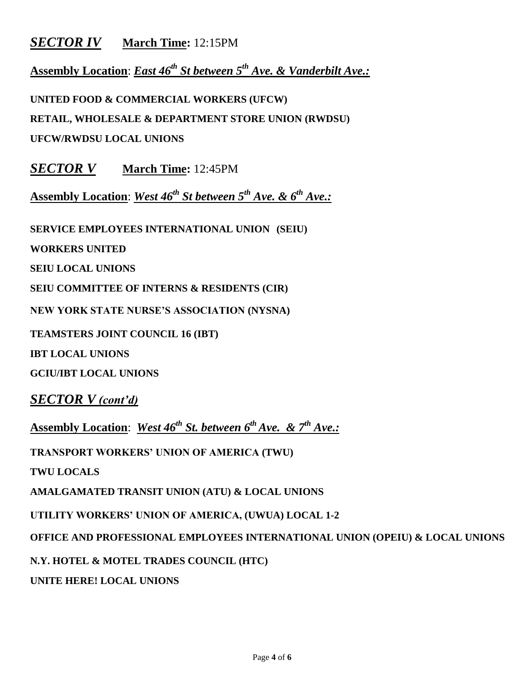## *SECTOR IV* **March Time:** 12:15PM

**Assembly Location**: *East 46th St between 5th Ave. & Vanderbilt Ave.:*

**UNITED FOOD & COMMERCIAL WORKERS (UFCW)**

**RETAIL, WHOLESALE & DEPARTMENT STORE UNION (RWDSU)**

**UFCW/RWDSU LOCAL UNIONS**

*SECTOR V* **March Time:** 12:45PM

**Assembly Location**: *West 46th St between 5th Ave. & 6th Ave.:*

**SERVICE EMPLOYEES INTERNATIONAL UNION (SEIU)**

**WORKERS UNITED**

**SEIU LOCAL UNIONS**

**SEIU COMMITTEE OF INTERNS & RESIDENTS (CIR)**

**NEW YORK STATE NURSE'S ASSOCIATION (NYSNA)**

**TEAMSTERS JOINT COUNCIL 16 (IBT)**

**IBT LOCAL UNIONS**

**GCIU/IBT LOCAL UNIONS** 

*SECTOR V (cont'd)*

**Assembly Location**: *West 46th St. between 6th Ave. & 7th Ave.:*

**TRANSPORT WORKERS' UNION OF AMERICA (TWU)**

**TWU LOCALS**

**AMALGAMATED TRANSIT UNION (ATU) & LOCAL UNIONS**

**UTILITY WORKERS' UNION OF AMERICA, (UWUA) LOCAL 1-2**

**OFFICE AND PROFESSIONAL EMPLOYEES INTERNATIONAL UNION (OPEIU) & LOCAL UNIONS**

**N.Y. HOTEL & MOTEL TRADES COUNCIL (HTC)**

**UNITE HERE! LOCAL UNIONS**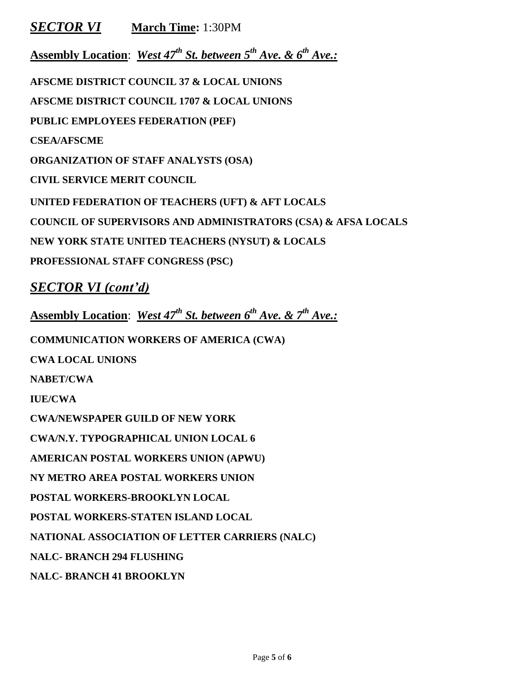*SECTOR VI* **March Time:** 1:30PM

**Assembly Location**: *West 47th St. between 5th Ave. & 6th Ave.:*

**AFSCME DISTRICT COUNCIL 37 & LOCAL UNIONS AFSCME DISTRICT COUNCIL 1707 & LOCAL UNIONS PUBLIC EMPLOYEES FEDERATION (PEF) CSEA/AFSCME ORGANIZATION OF STAFF ANALYSTS (OSA) CIVIL SERVICE MERIT COUNCIL UNITED FEDERATION OF TEACHERS (UFT) & AFT LOCALS COUNCIL OF SUPERVISORS AND ADMINISTRATORS (CSA) & AFSA LOCALS NEW YORK STATE UNITED TEACHERS (NYSUT) & LOCALS PROFESSIONAL STAFF CONGRESS (PSC)**

*SECTOR VI (cont'd)*

**Assembly Location**: *West 47th St. between 6th Ave. & 7th Ave.:*

**COMMUNICATION WORKERS OF AMERICA (CWA)**

**CWA LOCAL UNIONS**

**NABET/CWA**

**IUE/CWA**

**CWA/NEWSPAPER GUILD OF NEW YORK**

**CWA/N.Y. TYPOGRAPHICAL UNION LOCAL 6**

**AMERICAN POSTAL WORKERS UNION (APWU)**

**NY METRO AREA POSTAL WORKERS UNION**

**POSTAL WORKERS-BROOKLYN LOCAL**

**POSTAL WORKERS-STATEN ISLAND LOCAL**

**NATIONAL ASSOCIATION OF LETTER CARRIERS (NALC)**

**NALC- BRANCH 294 FLUSHING**

**NALC- BRANCH 41 BROOKLYN**